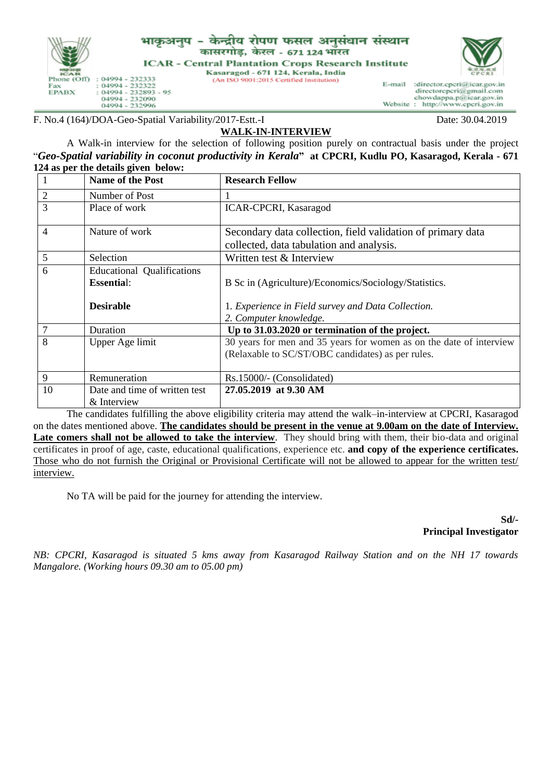

## भाकुअनुप -केन्द्रीय रोपण फसल अनुसंधान संस्थान कासरगोड, केरल - 671 124 भारत **ICAR - Central Plantation Crops Research Institute**

Kasaragod - 671 124, Kerala, India

(An ISO 9001:2015 Certified Institution)



E-mail :director.cpcri@icar.gov.in directorcpcri@gmail.com chowdappa.p@icar.gov.in<br>: http://www.cpcri.gov.in Website:

F. No.4 (164)/DOA-Geo-Spatial Variability/2017-Estt.-I Date: 30.04.2019

## **WALK-IN-INTERVIEW**

A Walk-in interview for the selection of following position purely on contractual basis under the project "*Geo-Spatial variability in coconut productivity in Kerala***" at CPCRI, Kudlu PO, Kasaragod, Kerala - 671 124 as per the details given below:**

| $\mathbf{1}$   | <b>Name of the Post</b>           | <b>Research Fellow</b>                                              |  |  |
|----------------|-----------------------------------|---------------------------------------------------------------------|--|--|
| $\overline{2}$ | Number of Post                    |                                                                     |  |  |
| 3              | Place of work                     | <b>ICAR-CPCRI, Kasaragod</b>                                        |  |  |
| $\overline{4}$ | Nature of work                    | Secondary data collection, field validation of primary data         |  |  |
|                |                                   | collected, data tabulation and analysis.                            |  |  |
| 5              | Selection                         | Written test & Interview                                            |  |  |
| 6              | <b>Educational Qualifications</b> |                                                                     |  |  |
|                | <b>Essential:</b>                 | B Sc in (Agriculture)/Economics/Sociology/Statistics.               |  |  |
|                | <b>Desirable</b>                  | 1. Experience in Field survey and Data Collection.                  |  |  |
|                |                                   | 2. Computer knowledge.                                              |  |  |
| 7              | Duration                          | Up to 31.03.2020 or termination of the project.                     |  |  |
| 8              | Upper Age limit                   | 30 years for men and 35 years for women as on the date of interview |  |  |
|                |                                   | (Relaxable to SC/ST/OBC candidates) as per rules.                   |  |  |
| 9              | Remuneration                      | Rs.15000/- (Consolidated)                                           |  |  |
|                |                                   | 27.05.2019 at 9.30 AM                                               |  |  |
| 10             | Date and time of written test     |                                                                     |  |  |
|                | & Interview                       |                                                                     |  |  |

The candidates fulfilling the above eligibility criteria may attend the walk–in-interview at CPCRI, Kasaragod on the dates mentioned above. **The candidates should be present in the venue at 9.00am on the date of Interview. Late comers shall not be allowed to take the interview**. They should bring with them, their bio-data and original certificates in proof of age, caste, educational qualifications, experience etc. **and copy of the experience certificates.** Those who do not furnish the Original or Provisional Certificate will not be allowed to appear for the written test/ interview.

No TA will be paid for the journey for attending the interview.

**Sd/- Principal Investigator**

*NB: CPCRI, Kasaragod is situated 5 kms away from Kasaragod Railway Station and on the NH 17 towards Mangalore. (Working hours 09.30 am to 05.00 pm)*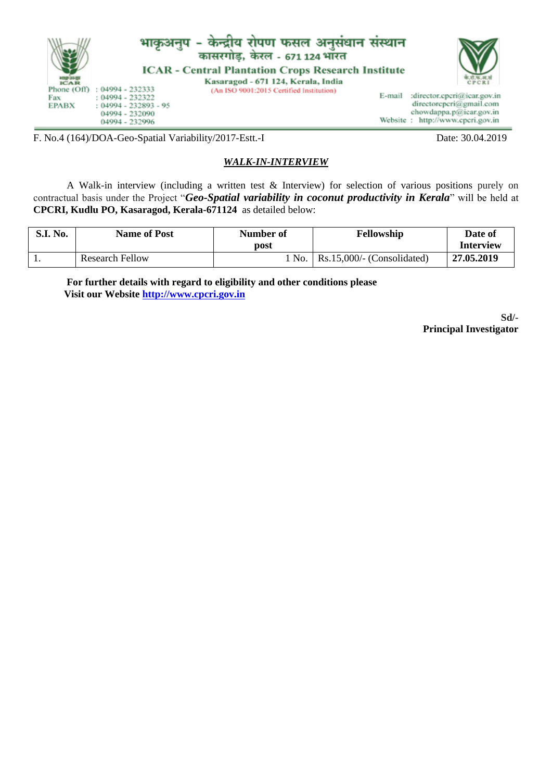

F. No.4 (164)/DOA-Geo-Spatial Variability/2017-Estt.-I Date: 30.04.2019

## *WALK-IN-INTERVIEW*

A Walk-in interview (including a written test & Interview) for selection of various positions purely on contractual basis under the Project "*Geo-Spatial variability in coconut productivity in Kerala*" will be held at **CPCRI, Kudlu PO, Kasaragod, Kerala-671124** as detailed below:

| <b>S.I. No.</b> | <b>Name of Post</b>    | Number of<br>post | <b>Fellowship</b>                  | Date of<br>Interview |
|-----------------|------------------------|-------------------|------------------------------------|----------------------|
|                 | <b>Research Fellow</b> | l No.             | $\vert$ Rs.15,000/- (Consolidated) | 27.05.2019           |

**For further details with regard to eligibility and other conditions please Visit our Website [http://www.cpcri.gov.in](http://www.cpcri.gov.in/)**

> **Sd/- Principal Investigator**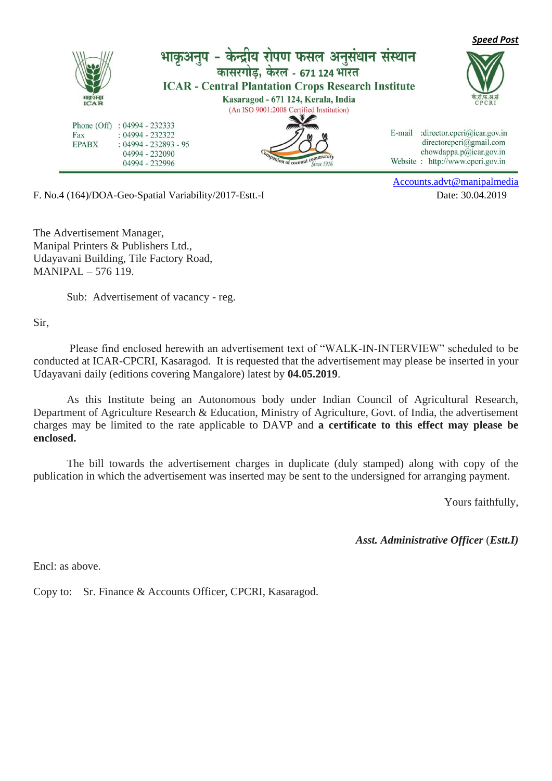

F. No.4 (164)/DOA-Geo-Spatial Variability/2017-Estt.-I Date: 30.04.2019

[Accounts.advt@manipalmedia](mailto:Accounts.advt@manipalmedia)

The Advertisement Manager, Manipal Printers & Publishers Ltd., Udayavani Building, Tile Factory Road, MANIPAL – 576 119.

Sub: Advertisement of vacancy - reg.

Sir,

 Please find enclosed herewith an advertisement text of "WALK-IN-INTERVIEW" scheduled to be conducted at ICAR-CPCRI, Kasaragod. It is requested that the advertisement may please be inserted in your Udayavani daily (editions covering Mangalore) latest by **04.05.2019**.

As this Institute being an Autonomous body under Indian Council of Agricultural Research, Department of Agriculture Research & Education, Ministry of Agriculture, Govt. of India, the advertisement charges may be limited to the rate applicable to DAVP and **a certificate to this effect may please be enclosed.** 

 The bill towards the advertisement charges in duplicate (duly stamped) along with copy of the publication in which the advertisement was inserted may be sent to the undersigned for arranging payment.

Yours faithfully,

*Asst. Administrative Officer* (*Estt.I)*

Encl: as above.

Copy to: Sr. Finance & Accounts Officer, CPCRI, Kasaragod.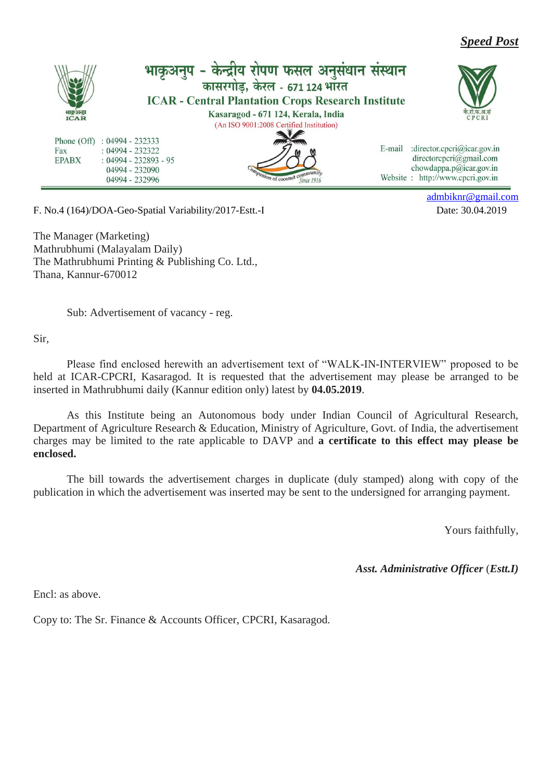*Speed Post*



F. No.4 (164)/DOA-Geo-Spatial Variability/2017-Estt.-I Date: 30.04.2019

[admbiknr@gmail.com](mailto:admbiknr@gmail.com)

The Manager (Marketing) Mathrubhumi (Malayalam Daily) The Mathrubhumi Printing & Publishing Co. Ltd., Thana, Kannur-670012

Sub: Advertisement of vacancy - reg.

Sir,

Please find enclosed herewith an advertisement text of "WALK-IN-INTERVIEW" proposed to be held at ICAR-CPCRI, Kasaragod. It is requested that the advertisement may please be arranged to be inserted in Mathrubhumi daily (Kannur edition only) latest by **04.05.2019**.

As this Institute being an Autonomous body under Indian Council of Agricultural Research, Department of Agriculture Research & Education, Ministry of Agriculture, Govt. of India, the advertisement charges may be limited to the rate applicable to DAVP and **a certificate to this effect may please be enclosed.** 

 The bill towards the advertisement charges in duplicate (duly stamped) along with copy of the publication in which the advertisement was inserted may be sent to the undersigned for arranging payment.

Yours faithfully,

*Asst. Administrative Officer* (*Estt.I)*

Encl: as above.

Copy to: The Sr. Finance & Accounts Officer, CPCRI, Kasaragod.